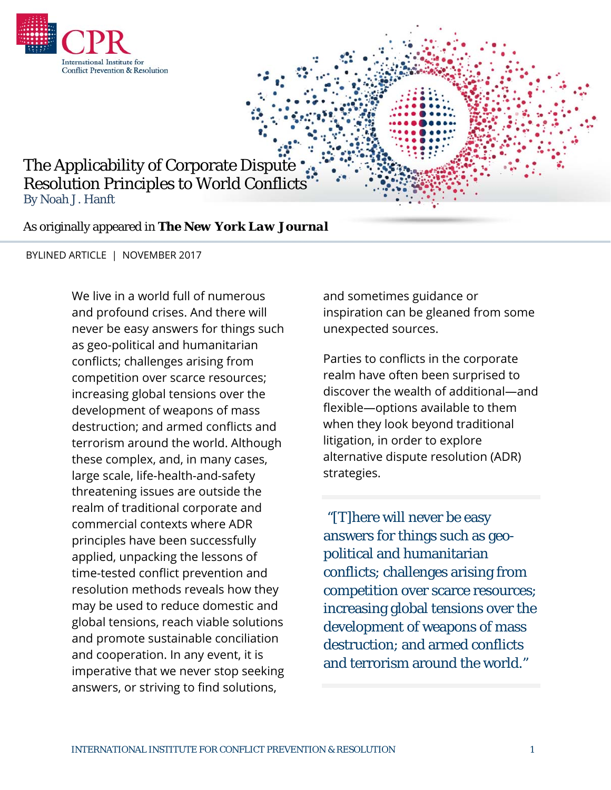

## The Applicability of Corporate Dispute Resolution Principles to World Conflicts By Noah J. Hanft

As originally appeared in *The New York Law Journal*

BYLINED ARTICLE | NOVEMBER 2017

We live in a world full of numerous and profound crises. And there will never be easy answers for things such as geo-political and humanitarian conflicts; challenges arising from competition over scarce resources; increasing global tensions over the development of weapons of mass destruction; and armed conflicts and terrorism around the world. Although these complex, and, in many cases, large scale, life-health-and-safety threatening issues are outside the realm of traditional corporate and commercial contexts where ADR principles have been successfully applied, unpacking the lessons of time-tested conflict prevention and resolution methods reveals how they may be used to reduce domestic and global tensions, reach viable solutions and promote sustainable conciliation and cooperation. In any event, it is imperative that we never stop seeking answers, or striving to find solutions,

and sometimes guidance or inspiration can be gleaned from some unexpected sources.

Parties to conflicts in the corporate realm have often been surprised to discover the wealth of additional—and flexible—options available to them when they look beyond traditional litigation, in order to explore alternative dispute resolution (ADR) strategies.

"[T]here will never be easy answers for things such as geopolitical and humanitarian conflicts; challenges arising from competition over scarce resources; increasing global tensions over the development of weapons of mass destruction; and armed conflicts and terrorism around the world."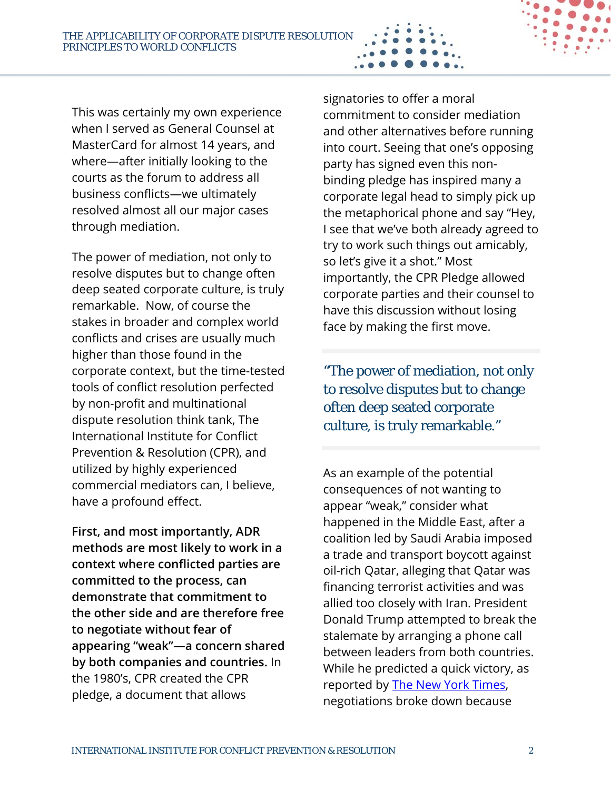This was certainly my own experience when I served as General Counsel at MasterCard for almost 14 years, and where—after initially looking to the courts as the forum to address all business conflicts—we ultimately resolved almost all our major cases through mediation.

The power of mediation, not only to resolve disputes but to change often deep seated corporate culture, is truly remarkable. Now, of course the stakes in broader and complex world conflicts and crises are usually much higher than those found in the corporate context, but the time-tested tools of conflict resolution perfected by non-profit and multinational dispute resolution think tank, The International Institute for Conflict Prevention & Resolution (CPR), and utilized by highly experienced commercial mediators can, I believe, have a profound effect.

**First, and most importantly, ADR methods are most likely to work in a context where conflicted parties are committed to the process, can demonstrate that commitment to the other side and are therefore free to negotiate without fear of appearing "weak"—a concern shared by both companies and countries.** In the 1980's, CPR created the CPR pledge, a document that allows

signatories to offer a moral commitment to consider mediation and other alternatives before running into court. Seeing that one's opposing party has signed even this nonbinding pledge has inspired many a corporate legal head to simply pick up the metaphorical phone and say "Hey, I see that we've both already agreed to try to work such things out amicably, so let's give it a shot." Most importantly, the CPR Pledge allowed corporate parties and their counsel to have this discussion without losing face by making the first move.

"The power of mediation, not only to resolve disputes but to change often deep seated corporate culture, is truly remarkable."

As an example of the potential consequences of not wanting to appear "weak," consider what happened in the Middle East, after a coalition led by Saudi Arabia imposed a trade and transport boycott against oil-rich Qatar, alleging that Qatar was financing terrorist activities and was allied too closely with Iran. President Donald Trump attempted to break the stalemate by arranging a phone call between leaders from both countries. While he predicted a quick victory, as reported by **The New York Times**, negotiations broke down because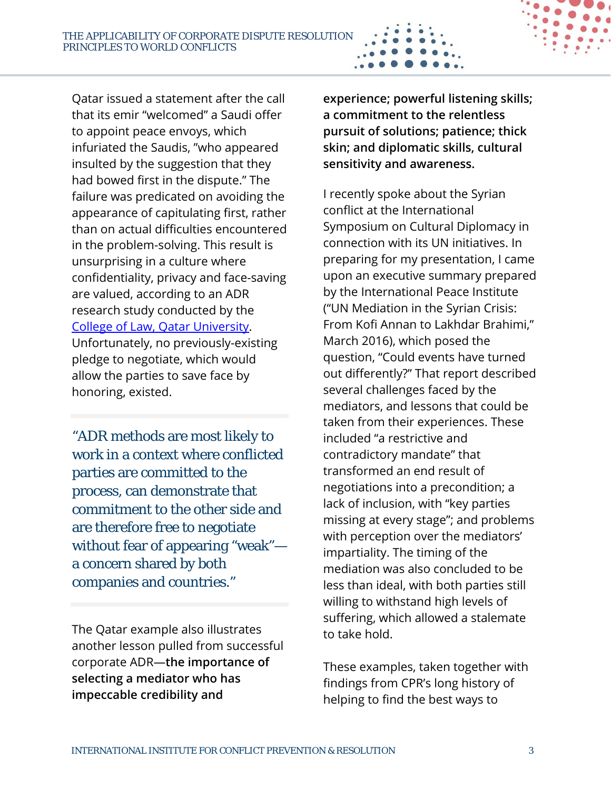Qatar issued a statement after the call that its emir "welcomed" a Saudi offer to appoint peace envoys, which infuriated the Saudis, "who appeared insulted by the suggestion that they had bowed first in the dispute." The failure was predicated on avoiding the appearance of capitulating first, rather than on actual difficulties encountered in the problem-solving. This result is unsurprising in a culture where confidentiality, privacy and face-saving are valued, according to an ADR research study conducted by the College of Law, Qatar University. Unfortunately, no previously-existing pledge to negotiate, which would allow the parties to save face by honoring, existed.

"ADR methods are most likely to work in a context where conflicted parties are committed to the process, can demonstrate that commitment to the other side and are therefore free to negotiate without fear of appearing "weak" a concern shared by both companies and countries."

The Qatar example also illustrates another lesson pulled from successful corporate ADR—**the importance of selecting a mediator who has impeccable credibility and** 

**experience; powerful listening skills; a commitment to the relentless pursuit of solutions; patience; thick skin; and diplomatic skills, cultural sensitivity and awareness.**

I recently spoke about the Syrian conflict at the International Symposium on Cultural Diplomacy in connection with its UN initiatives. In preparing for my presentation, I came upon an executive summary prepared by the International Peace Institute ("UN Mediation in the Syrian Crisis: From Kofi Annan to Lakhdar Brahimi," March 2016), which posed the question, "Could events have turned out differently?" That report described several challenges faced by the mediators, and lessons that could be taken from their experiences. These included "a restrictive and contradictory mandate" that transformed an end result of negotiations into a precondition; a lack of inclusion, with "key parties missing at every stage"; and problems with perception over the mediators' impartiality. The timing of the mediation was also concluded to be less than ideal, with both parties still willing to withstand high levels of suffering, which allowed a stalemate to take hold.

These examples, taken together with findings from CPR's long history of helping to find the best ways to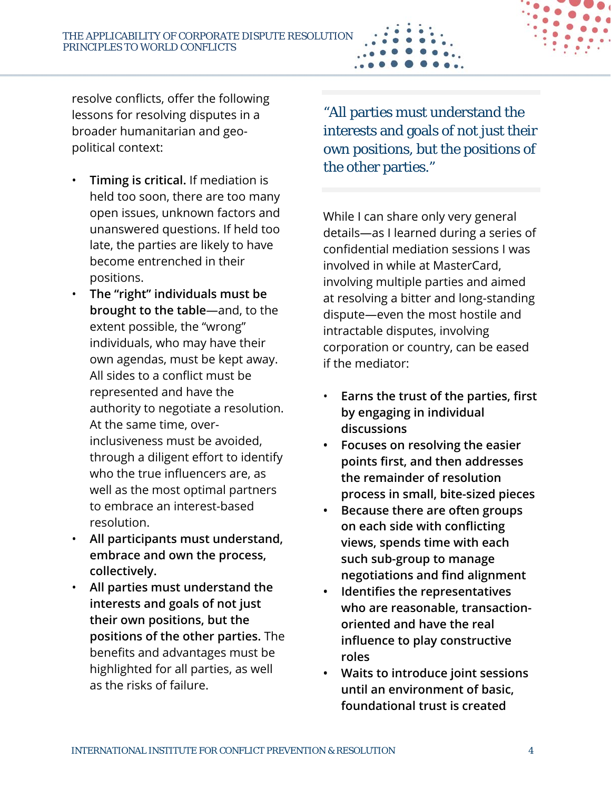resolve conflicts, offer the following lessons for resolving disputes in a broader humanitarian and geopolitical context:

- **Timing is critical.** If mediation is held too soon, there are too many open issues, unknown factors and unanswered questions. If held too late, the parties are likely to have become entrenched in their positions.
- **The "right" individuals must be brought to the table**—and, to the extent possible, the "wrong" individuals, who may have their own agendas, must be kept away. All sides to a conflict must be represented and have the authority to negotiate a resolution. At the same time, overinclusiveness must be avoided, through a diligent effort to identify who the true influencers are, as well as the most optimal partners to embrace an interest-based resolution.
- **All participants must understand, embrace and own the process, collectively.**
- **All parties must understand the interests and goals of not just their own positions, but the positions of the other parties.** The benefits and advantages must be highlighted for all parties, as well as the risks of failure.

"All parties must understand the interests and goals of not just their own positions, but the positions of the other parties."

While I can share only very general details—as I learned during a series of confidential mediation sessions I was involved in while at MasterCard, involving multiple parties and aimed at resolving a bitter and long-standing dispute—even the most hostile and intractable disputes, involving corporation or country, can be eased if the mediator:

- **Earns the trust of the parties, first by engaging in individual discussions**
- **Focuses on resolving the easier points first, and then addresses the remainder of resolution process in small, bite-sized pieces**
- **Because there are often groups on each side with conflicting views, spends time with each such sub-group to manage negotiations and find alignment**
- **Identifies the representatives who are reasonable, transactionoriented and have the real influence to play constructive roles**
- **Waits to introduce joint sessions until an environment of basic, foundational trust is created**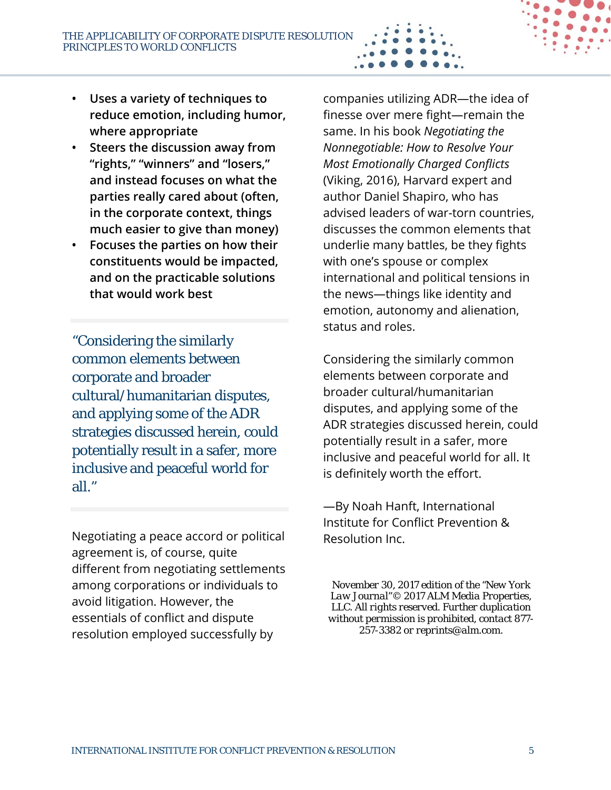- **Uses a variety of techniques to reduce emotion, including humor, where appropriate**
- **Steers the discussion away from "rights," "winners" and "losers," and instead focuses on what the parties really cared about (often, in the corporate context, things much easier to give than money)**
- **Focuses the parties on how their constituents would be impacted, and on the practicable solutions that would work best**

"Considering the similarly common elements between corporate and broader cultural/humanitarian disputes, and applying some of the ADR strategies discussed herein, could potentially result in a safer, more inclusive and peaceful world for all."

Negotiating a peace accord or political agreement is, of course, quite different from negotiating settlements among corporations or individuals to avoid litigation. However, the essentials of conflict and dispute resolution employed successfully by

companies utilizing ADR—the idea of finesse over mere fight—remain the same. In his book *Negotiating the Nonnegotiable: How to Resolve Your Most Emotionally Charged Conflicts* (Viking, 2016), Harvard expert and author Daniel Shapiro, who has advised leaders of war-torn countries, discusses the common elements that underlie many battles, be they fights with one's spouse or complex international and political tensions in the news—things like identity and emotion, autonomy and alienation, status and roles.

Considering the similarly common elements between corporate and broader cultural/humanitarian disputes, and applying some of the ADR strategies discussed herein, could potentially result in a safer, more inclusive and peaceful world for all. It is definitely worth the effort.

—By Noah Hanft, International Institute for Conflict Prevention & Resolution Inc.

*November 30, 2017 edition of the "New York Law Journal"© 2017 ALM Media Properties, LLC. All rights reserved. Further duplication without permission is prohibited, contact 877- 257-3382 or reprints@alm.com.*